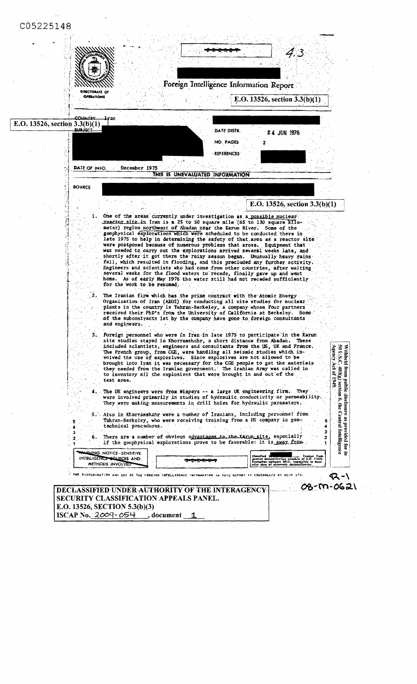